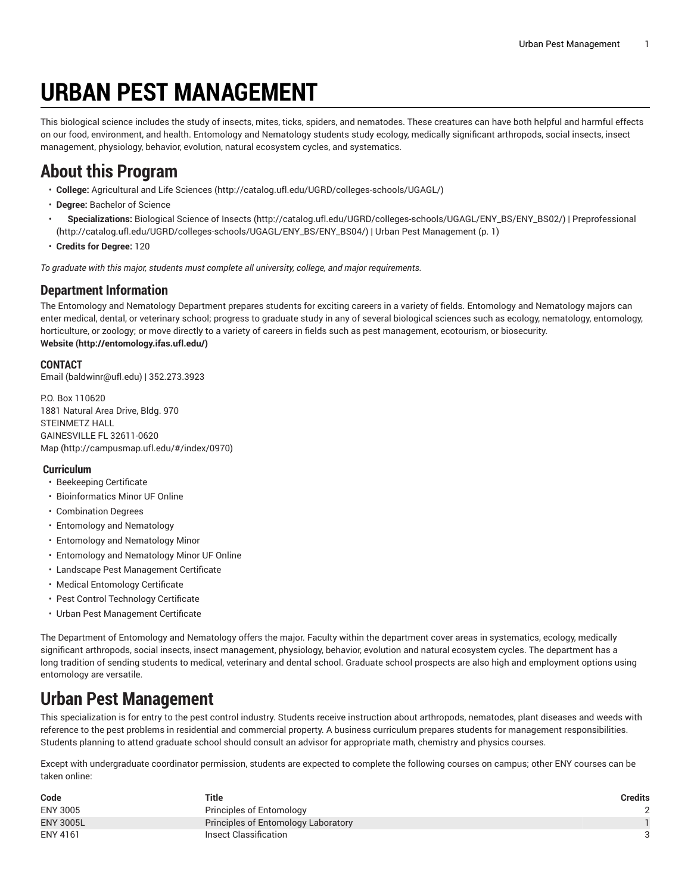# **URBAN PEST MANAGEMENT**

<span id="page-0-0"></span>This biological science includes the study of insects, mites, ticks, spiders, and nematodes. These creatures can have both helpful and harmful effects on our food, environment, and health. Entomology and Nematology students study ecology, medically significant arthropods, social insects, insect management, physiology, behavior, evolution, natural ecosystem cycles, and systematics.

# **About this Program**

- **College:** [Agricultural](http://catalog.ufl.edu/UGRD/colleges-schools/UGAGL/) and Life Sciences ([http://catalog.ufl.edu/UGRD/colleges-schools/UGAGL/\)](http://catalog.ufl.edu/UGRD/colleges-schools/UGAGL/)
- **Degree:** Bachelor of Science
- **Specializations:** [Biological Science of Insects \(http://catalog.ufl.edu/UGRD/colleges-schools/UGAGL/ENY\\_BS/ENY\\_BS02/\)](http://catalog.ufl.edu/UGRD/colleges-schools/UGAGL/ENY_BS/ENY_BS02/) | [Preprofessional](http://catalog.ufl.edu/UGRD/colleges-schools/UGAGL/ENY_BS/ENY_BS04/) ([http://catalog.ufl.edu/UGRD/colleges-schools/UGAGL/ENY\\_BS/ENY\\_BS04/\)](http://catalog.ufl.edu/UGRD/colleges-schools/UGAGL/ENY_BS/ENY_BS04/) | Urban Pest [Management](#page-0-0) ([p. 1\)](#page-0-0)
- **Credits for Degree:** 120

*To graduate with this major, students must complete all university, college, and major requirements.*

#### **Department Information**

The Entomology and Nematology Department prepares students for exciting careers in a variety of fields. Entomology and Nematology majors can enter medical, dental, or veterinary school; progress to graduate study in any of several biological sciences such as ecology, nematology, entomology, horticulture, or zoology; or move directly to a variety of careers in fields such as pest management, ecotourism, or biosecurity. **[Website](http://entomology.ifas.ufl.edu/) ([http://entomology.ifas.ufl.edu/\)](http://entomology.ifas.ufl.edu/)**

#### **CONTACT**

[Email](mailto:baldwinr@ufl.edu) (<baldwinr@ufl.edu>) | 352.273.3923

P.O. Box 110620 1881 Natural Area Drive, Bldg. 970 STEINMETZ HALL GAINESVILLE FL 32611-0620 [Map](http://campusmap.ufl.edu/#/index/0970) ([http://campusmap.ufl.edu/#/index/0970\)](http://campusmap.ufl.edu/#/index/0970)

#### **Curriculum**

- Beekeeping Certificate
- Bioinformatics Minor UF Online
- Combination Degrees
- Entomology and Nematology
- Entomology and Nematology Minor
- Entomology and Nematology Minor UF Online
- Landscape Pest Management Certificate
- Medical Entomology Certificate
- Pest Control Technology Certificate
- Urban Pest Management Certificate

The Department of Entomology and Nematology offers the major. Faculty within the department cover areas in systematics, ecology, medically significant arthropods, social insects, insect management, physiology, behavior, evolution and natural ecosystem cycles. The department has a long tradition of sending students to medical, veterinary and dental school. Graduate school prospects are also high and employment options using entomology are versatile.

# **Urban Pest Management**

This specialization is for entry to the pest control industry. Students receive instruction about arthropods, nematodes, plant diseases and weeds with reference to the pest problems in residential and commercial property. A business curriculum prepares students for management responsibilities. Students planning to attend graduate school should consult an advisor for appropriate math, chemistry and physics courses.

Except with undergraduate coordinator permission, students are expected to complete the following courses on campus; other ENY courses can be taken online:

| Code             | Title                               | <b>Credits</b> |
|------------------|-------------------------------------|----------------|
| <b>ENY 3005</b>  | Principles of Entomology            |                |
| <b>ENY 3005L</b> | Principles of Entomology Laboratory |                |
| ENY 4161         | Insect Classification               |                |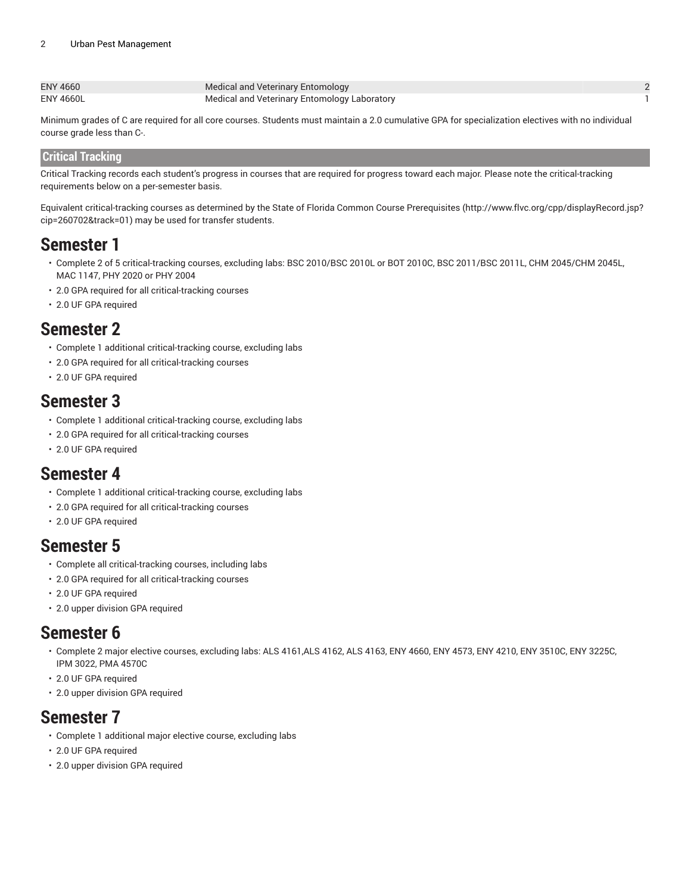| ENY 4660         | Medical and Veterinary Entomology            |  |
|------------------|----------------------------------------------|--|
| <b>ENY 4660L</b> | Medical and Veterinary Entomology Laboratory |  |

Minimum grades of C are required for all core courses. Students must maintain a 2.0 cumulative GPA for specialization electives with no individual course grade less than C-.

#### **Critical Tracking**

Critical Tracking records each student's progress in courses that are required for progress toward each major. Please note the critical-tracking requirements below on a per-semester basis.

Equivalent critical-tracking courses as determined by the State of Florida Common Course [Prerequisites](http://www.flvc.org/cpp/displayRecord.jsp?cip=260702&track=01) ([http://www.flvc.org/cpp/displayRecord.jsp?](http://www.flvc.org/cpp/displayRecord.jsp?cip=260702&track=01) [cip=260702&track=01\)](http://www.flvc.org/cpp/displayRecord.jsp?cip=260702&track=01) may be used for transfer students.

### **Semester 1**

- Complete 2 of 5 critical-tracking courses, excluding labs: BSC 2010/BSC 2010L or BOT 2010C, BSC 2011/BSC 2011L, CHM 2045/CHM 2045L, MAC 1147, PHY 2020 or PHY 2004
- 2.0 GPA required for all critical-tracking courses
- 2.0 UF GPA required

### **Semester 2**

- Complete 1 additional critical-tracking course, excluding labs
- 2.0 GPA required for all critical-tracking courses
- 2.0 UF GPA required

### **Semester 3**

- Complete 1 additional critical-tracking course, excluding labs
- 2.0 GPA required for all critical-tracking courses
- 2.0 UF GPA required

### **Semester 4**

- Complete 1 additional critical-tracking course, excluding labs
- 2.0 GPA required for all critical-tracking courses
- 2.0 UF GPA required

# **Semester 5**

- Complete all critical-tracking courses, including labs
- 2.0 GPA required for all critical-tracking courses
- 2.0 UF GPA required
- 2.0 upper division GPA required

### **Semester 6**

- Complete 2 major elective courses, excluding labs: ALS 4161,ALS 4162, ALS 4163, ENY 4660, ENY 4573, ENY 4210, ENY 3510C, ENY 3225C, IPM 3022, PMA 4570C
- 2.0 UF GPA required
- 2.0 upper division GPA required

# **Semester 7**

- Complete 1 additional major elective course, excluding labs
- 2.0 UF GPA required
- 2.0 upper division GPA required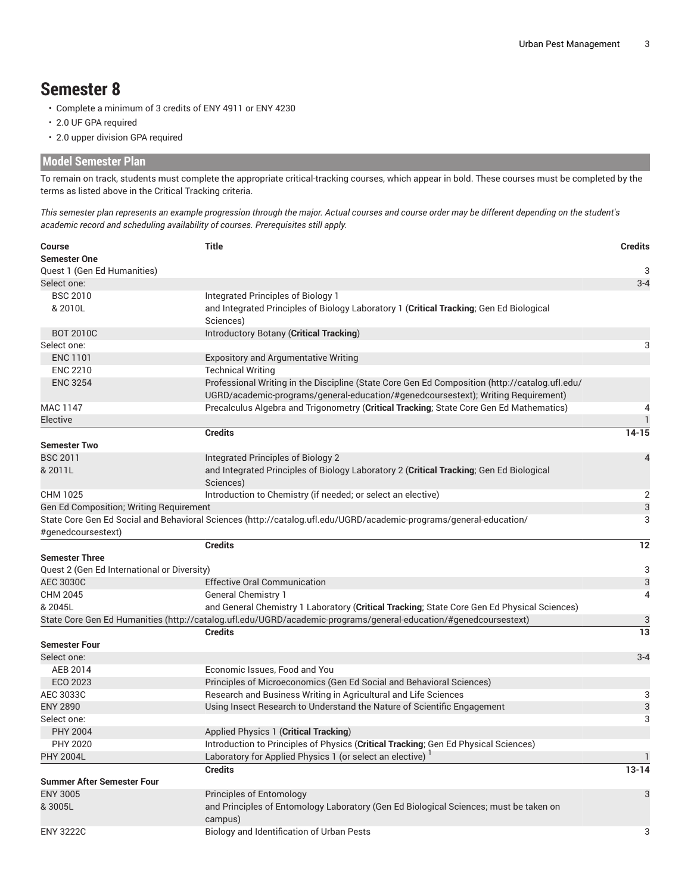### **Semester 8**

- Complete a minimum of 3 credits of ENY 4911 or ENY 4230
- 2.0 UF GPA required
- 2.0 upper division GPA required

#### **Model Semester Plan**

To remain on track, students must complete the appropriate critical-tracking courses, which appear in bold. These courses must be completed by the terms as listed above in the Critical Tracking criteria.

This semester plan represents an example progression through the major. Actual courses and course order may be different depending on the student's *academic record and scheduling availability of courses. Prerequisites still apply.*

| Course<br><b>Semester One</b>               | <b>Title</b>                                                                                                                  | <b>Credits</b> |
|---------------------------------------------|-------------------------------------------------------------------------------------------------------------------------------|----------------|
|                                             |                                                                                                                               | 3              |
| Quest 1 (Gen Ed Humanities)<br>Select one:  |                                                                                                                               | $3 - 4$        |
| <b>BSC 2010</b>                             |                                                                                                                               |                |
| & 2010L                                     | Integrated Principles of Biology 1<br>and Integrated Principles of Biology Laboratory 1 (Critical Tracking; Gen Ed Biological |                |
|                                             | Sciences)                                                                                                                     |                |
| <b>BOT 2010C</b>                            | Introductory Botany (Critical Tracking)                                                                                       |                |
| Select one:                                 |                                                                                                                               | 3              |
| <b>ENC 1101</b>                             |                                                                                                                               |                |
|                                             | <b>Expository and Argumentative Writing</b>                                                                                   |                |
| <b>ENC 2210</b>                             | <b>Technical Writing</b>                                                                                                      |                |
| <b>ENC 3254</b>                             | Professional Writing in the Discipline (State Core Gen Ed Composition (http://catalog.ufl.edu/                                |                |
|                                             | UGRD/academic-programs/general-education/#genedcoursestext); Writing Requirement)                                             |                |
| MAC 1147                                    | Precalculus Algebra and Trigonometry (Critical Tracking; State Core Gen Ed Mathematics)                                       | 4              |
| Elective                                    |                                                                                                                               | $\mathbf{1}$   |
|                                             | <b>Credits</b>                                                                                                                | $14 - 15$      |
| <b>Semester Two</b>                         |                                                                                                                               |                |
| <b>BSC 2011</b>                             | Integrated Principles of Biology 2                                                                                            | 4              |
| & 2011L                                     | and Integrated Principles of Biology Laboratory 2 (Critical Tracking; Gen Ed Biological                                       |                |
|                                             | Sciences)                                                                                                                     |                |
| CHM 1025                                    | Introduction to Chemistry (if needed; or select an elective)                                                                  | 2              |
| Gen Ed Composition; Writing Requirement     |                                                                                                                               | 3              |
|                                             | State Core Gen Ed Social and Behavioral Sciences (http://catalog.ufl.edu/UGRD/academic-programs/general-education/            | 3              |
| #genedcoursestext)                          |                                                                                                                               |                |
|                                             | <b>Credits</b>                                                                                                                | 12             |
| <b>Semester Three</b>                       |                                                                                                                               |                |
| Quest 2 (Gen Ed International or Diversity) |                                                                                                                               | 3              |
| AEC 3030C                                   | <b>Effective Oral Communication</b>                                                                                           | 3              |
| CHM 2045                                    | <b>General Chemistry 1</b>                                                                                                    | $\overline{4}$ |
| & 2045L                                     | and General Chemistry 1 Laboratory (Critical Tracking; State Core Gen Ed Physical Sciences)                                   |                |
|                                             | State Core Gen Ed Humanities (http://catalog.ufl.edu/UGRD/academic-programs/general-education/#genedcoursestext)              | 3              |
|                                             | <b>Credits</b>                                                                                                                | 13             |
| <b>Semester Four</b>                        |                                                                                                                               |                |
| Select one:                                 |                                                                                                                               | $3 - 4$        |
| AEB 2014                                    | Economic Issues, Food and You                                                                                                 |                |
| ECO 2023                                    | Principles of Microeconomics (Gen Ed Social and Behavioral Sciences)                                                          |                |
| AEC 3033C                                   | Research and Business Writing in Agricultural and Life Sciences                                                               | 3              |
| <b>ENY 2890</b>                             | Using Insect Research to Understand the Nature of Scientific Engagement                                                       | 3              |
| Select one:                                 |                                                                                                                               | 3              |
| <b>PHY 2004</b>                             | Applied Physics 1 (Critical Tracking)                                                                                         |                |
| PHY 2020                                    | Introduction to Principles of Physics (Critical Tracking; Gen Ed Physical Sciences)                                           |                |
| <b>PHY 2004L</b>                            | Laboratory for Applied Physics 1 (or select an elective) <sup>1</sup>                                                         |                |
|                                             | <b>Credits</b>                                                                                                                | $13 - 14$      |
| <b>Summer After Semester Four</b>           |                                                                                                                               |                |
| <b>ENY 3005</b>                             | <b>Principles of Entomology</b>                                                                                               | 3              |
| &3005L                                      | and Principles of Entomology Laboratory (Gen Ed Biological Sciences; must be taken on                                         |                |
|                                             | campus)                                                                                                                       |                |
| <b>ENY 3222C</b>                            | Biology and Identification of Urban Pests                                                                                     | 3              |
|                                             |                                                                                                                               |                |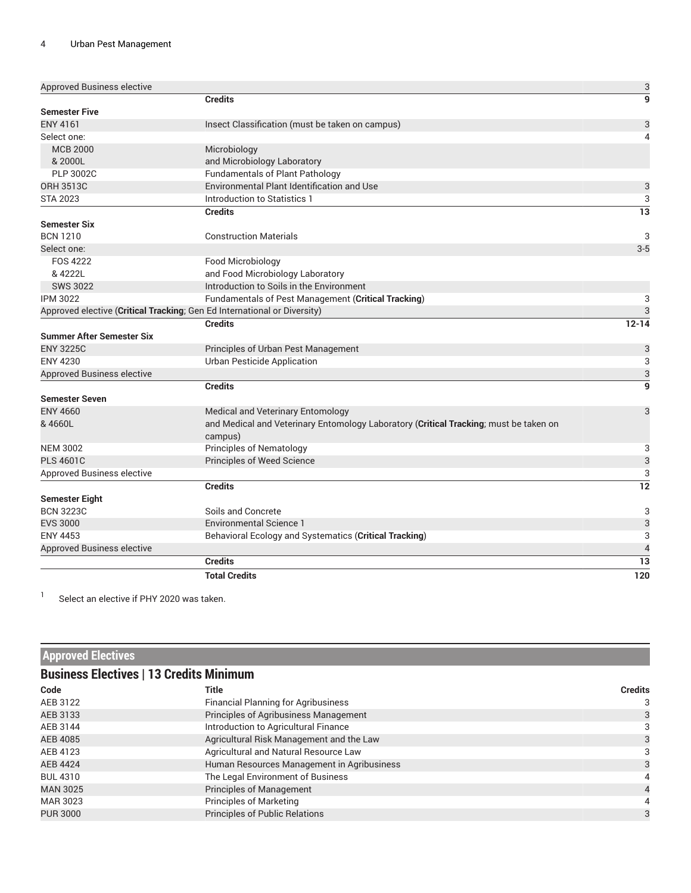| <b>Approved Business elective</b>                                        |                                                                                       | 3                        |
|--------------------------------------------------------------------------|---------------------------------------------------------------------------------------|--------------------------|
|                                                                          | <b>Credits</b>                                                                        | $\mathbf{g}$             |
| <b>Semester Five</b>                                                     |                                                                                       |                          |
| <b>ENY 4161</b>                                                          | Insect Classification (must be taken on campus)                                       | 3                        |
| Select one:                                                              |                                                                                       | $\overline{A}$           |
| <b>MCB 2000</b>                                                          | Microbiology                                                                          |                          |
| & 2000L                                                                  | and Microbiology Laboratory                                                           |                          |
| <b>PLP 3002C</b>                                                         | <b>Fundamentals of Plant Pathology</b>                                                |                          |
| <b>ORH 3513C</b>                                                         | Environmental Plant Identification and Use                                            | 3                        |
| <b>STA 2023</b>                                                          | Introduction to Statistics 1                                                          | 3                        |
|                                                                          | <b>Credits</b>                                                                        | 13                       |
| <b>Semester Six</b>                                                      |                                                                                       |                          |
| <b>BCN 1210</b>                                                          | <b>Construction Materials</b>                                                         | 3                        |
| Select one:                                                              |                                                                                       | $3-5$                    |
| <b>FOS 4222</b>                                                          | Food Microbiology                                                                     |                          |
| & 4222L                                                                  | and Food Microbiology Laboratory                                                      |                          |
| <b>SWS 3022</b>                                                          | Introduction to Soils in the Environment                                              |                          |
| <b>IPM 3022</b>                                                          | Fundamentals of Pest Management (Critical Tracking)                                   | 3                        |
| Approved elective (Critical Tracking; Gen Ed International or Diversity) |                                                                                       | 3                        |
|                                                                          | <b>Credits</b>                                                                        | $12 - 14$                |
| <b>Summer After Semester Six</b>                                         |                                                                                       |                          |
| <b>ENY 3225C</b>                                                         | Principles of Urban Pest Management                                                   | 3                        |
| <b>ENY 4230</b>                                                          | <b>Urban Pesticide Application</b>                                                    | 3                        |
| <b>Approved Business elective</b>                                        |                                                                                       | 3                        |
|                                                                          | <b>Credits</b>                                                                        | $\overline{9}$           |
| <b>Semester Seven</b>                                                    |                                                                                       |                          |
| <b>ENY 4660</b>                                                          | Medical and Veterinary Entomology                                                     | 3                        |
| & 4660L                                                                  | and Medical and Veterinary Entomology Laboratory (Critical Tracking; must be taken on |                          |
|                                                                          | campus)                                                                               |                          |
| <b>NEM 3002</b>                                                          | <b>Principles of Nematology</b>                                                       | 3                        |
| <b>PLS 4601C</b>                                                         | Principles of Weed Science                                                            | 3                        |
| <b>Approved Business elective</b>                                        |                                                                                       | 3                        |
|                                                                          | <b>Credits</b>                                                                        | 12                       |
| <b>Semester Eight</b>                                                    |                                                                                       |                          |
| <b>BCN 3223C</b>                                                         | Soils and Concrete                                                                    | 3                        |
| <b>EVS 3000</b>                                                          | <b>Environmental Science 1</b>                                                        | 3                        |
| <b>ENY 4453</b>                                                          | Behavioral Ecology and Systematics (Critical Tracking)                                | 3                        |
| <b>Approved Business elective</b>                                        |                                                                                       | $\overline{\mathcal{L}}$ |
|                                                                          | <b>Credits</b>                                                                        | 13                       |
|                                                                          | <b>Total Credits</b>                                                                  | 120                      |

1 Select an elective if PHY 2020 was taken.

| <b>Approved Electives</b> |                                                |                |  |  |
|---------------------------|------------------------------------------------|----------------|--|--|
|                           | <b>Business Electives   13 Credits Minimum</b> |                |  |  |
| Code                      | <b>Title</b>                                   | <b>Credits</b> |  |  |
| AEB 3122                  | <b>Financial Planning for Agribusiness</b>     | 3              |  |  |
| AEB 3133                  | Principles of Agribusiness Management          | 3              |  |  |
| AEB 3144                  | Introduction to Agricultural Finance           | 3              |  |  |
| AEB 4085                  | Agricultural Risk Management and the Law       | 3              |  |  |
| AEB 4123                  | Agricultural and Natural Resource Law          | 3              |  |  |
| <b>AEB 4424</b>           | Human Resources Management in Agribusiness     | 3              |  |  |
| <b>BUL 4310</b>           | The Legal Environment of Business              |                |  |  |
| <b>MAN 3025</b>           | Principles of Management                       |                |  |  |
| MAR 3023                  | <b>Principles of Marketing</b>                 |                |  |  |
| <b>PUR 3000</b>           | Principles of Public Relations                 | 3              |  |  |